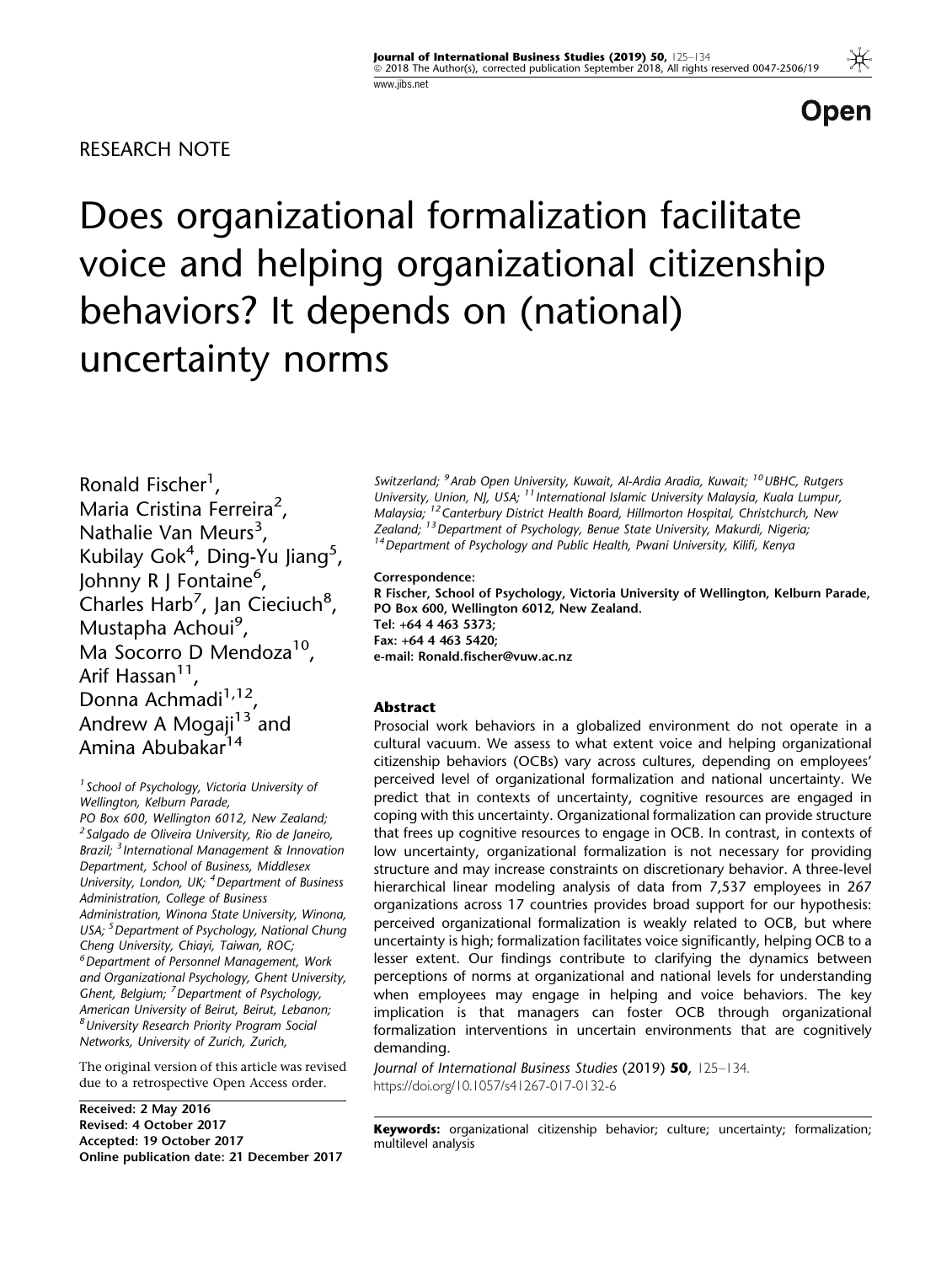RESEARCH NOTE

## Open

# Does organizational formalization facilitate voice and helping organizational citizenship behaviors? It depends on (national) uncertainty norms

Ronald Fischer<sup>1</sup>, Maria Cristina Ferreira<sup>2</sup>, Nathalie Van Meurs<sup>3</sup>, Kubilay Gok<sup>4</sup>, Ding-Yu Jiang<sup>5</sup>, Johnny R J Fontaine<sup>6</sup>, Charles Harb<sup>7</sup>, Jan Cieciuch<sup>8</sup>, Mustapha Achoui<sup>9</sup>, Ma Socorro D Mendoza<sup>10</sup>, Arif Hassan<sup>11</sup>, Donna Achmadi<sup>1,12</sup> Andrew A Mogaji<sup>13</sup> and Amina Abubakar<sup>14</sup>

<sup>1</sup> School of Psychology, Victoria University of Wellington, Kelburn Parade, PO Box 600, Wellington 6012, New Zealand; <sup>2</sup> Salgado de Oliveira University, Rio de Janeiro, Brazil; <sup>3</sup> International Management & Innovation Department, School of Business, Middlesex University, London, UK; <sup>4</sup> Department of Business Administration, College of Business Administration, Winona State University, Winona, USA; <sup>5</sup> Department of Psychology, National Chung Cheng University, Chiayi, Taiwan, ROC; 6 Department of Personnel Management, Work and Organizational Psychology, Ghent University, Ghent, Belgium; <sup>7</sup> Department of Psychology, American University of Beirut, Beirut, Lebanon; 8 University Research Priority Program Social Networks, University of Zurich, Zurich,

The original version of this article was revised due to a retrospective Open Access order.

Received: 2 May 2016 Revised: 4 October 2017 Accepted: 19 October 2017 Online publication date: 21 December 2017

Switzerland; <sup>9</sup> Arab Open University, Kuwait, Al-Ardia Aradia, Kuwait; <sup>10</sup>UBHC, Rutgers University, Union, NJ, USA; <sup>11</sup> International Islamic University Malaysia, Kuala Lumpur, Malaysia; <sup>12</sup> Canterbury District Health Board, Hillmorton Hospital, Christchurch, New Zealand; 13Department of Psychology, Benue State University, Makurdi, Nigeria; 14Department of Psychology and Public Health, Pwani University, Kilifi, Kenya

#### Correspondence:

R Fischer, School of Psychology, Victoria University of Wellington, Kelburn Parade, PO Box 600, Wellington 6012, New Zealand. Tel: +64 4 463 5373; Fax: +64 4 463 5420; e-mail: Ronald.fischer@vuw.ac.nz

#### Abstract

Prosocial work behaviors in a globalized environment do not operate in a cultural vacuum. We assess to what extent voice and helping organizational citizenship behaviors (OCBs) vary across cultures, depending on employees' perceived level of organizational formalization and national uncertainty. We predict that in contexts of uncertainty, cognitive resources are engaged in coping with this uncertainty. Organizational formalization can provide structure that frees up cognitive resources to engage in OCB. In contrast, in contexts of low uncertainty, organizational formalization is not necessary for providing structure and may increase constraints on discretionary behavior. A three-level hierarchical linear modeling analysis of data from 7,537 employees in 267 organizations across 17 countries provides broad support for our hypothesis: perceived organizational formalization is weakly related to OCB, but where uncertainty is high; formalization facilitates voice significantly, helping OCB to a lesser extent. Our findings contribute to clarifying the dynamics between perceptions of norms at organizational and national levels for understanding when employees may engage in helping and voice behaviors. The key implication is that managers can foster OCB through organizational formalization interventions in uncertain environments that are cognitively demanding.

Journal of International Business Studies (2019) 50, 125-134. https://doi.org/10.1057/s41267-017-0132-6

Keywords: organizational citizenship behavior; culture; uncertainty; formalization; multilevel analysis

### 决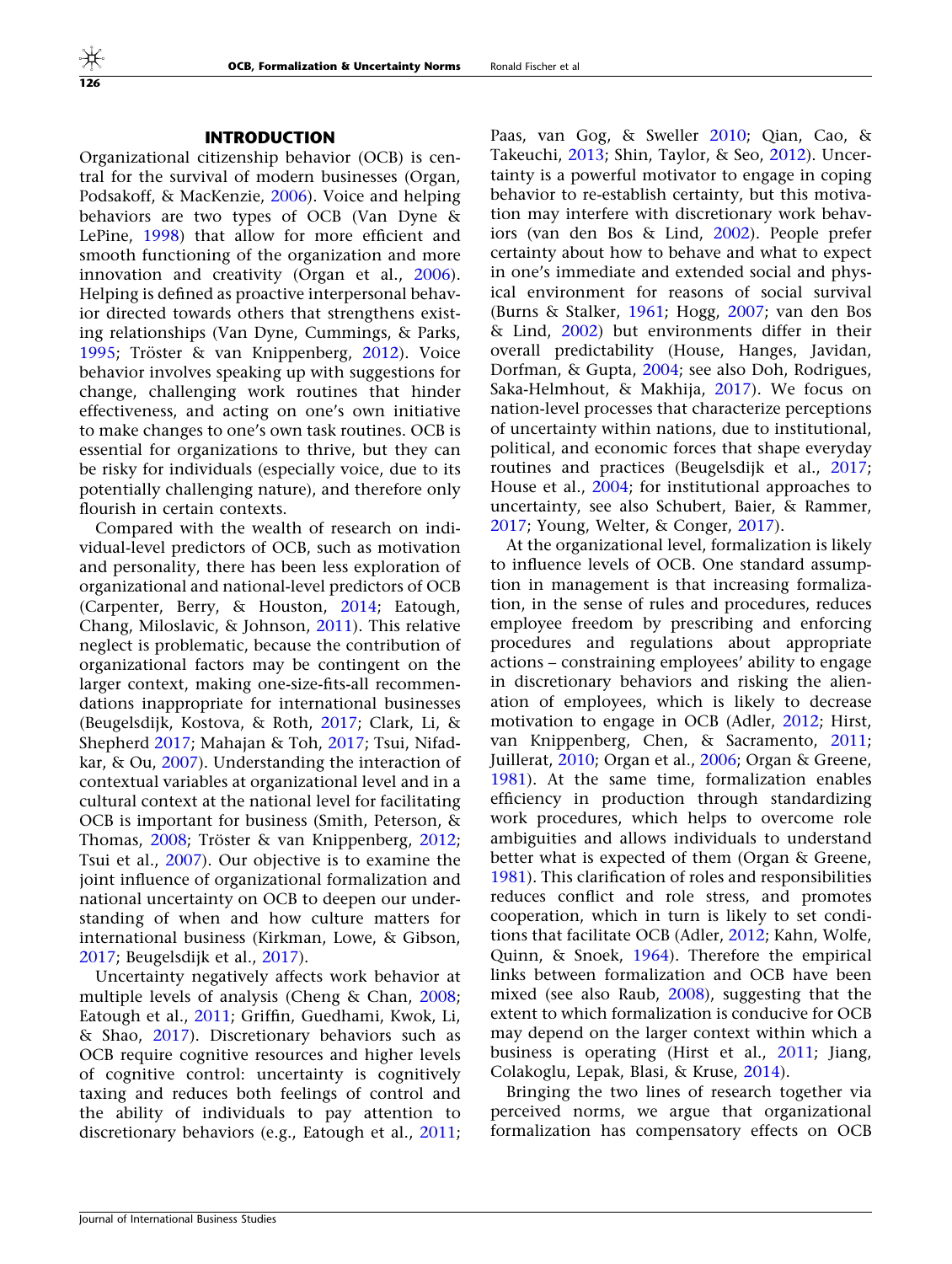#### INTRODUCTION

Organizational citizenship behavior (OCB) is central for the survival of modern businesses (Organ, Podsakoff, & MacKenzie, [2006](#page-7-0)). Voice and helping behaviors are two types of OCB (Van Dyne & LePine, [1998](#page-8-0)) that allow for more efficient and smooth functioning of the organization and more innovation and creativity (Organ et al., [2006\)](#page-7-0). Helping is defined as proactive interpersonal behavior directed towards others that strengthens existing relationships (Van Dyne, Cummings, & Parks, [1995;](#page-8-0) Tröster & van Knippenberg, [2012\)](#page-8-0). Voice behavior involves speaking up with suggestions for change, challenging work routines that hinder effectiveness, and acting on one's own initiative to make changes to one's own task routines. OCB is essential for organizations to thrive, but they can be risky for individuals (especially voice, due to its potentially challenging nature), and therefore only flourish in certain contexts.

Compared with the wealth of research on individual-level predictors of OCB, such as motivation and personality, there has been less exploration of organizational and national-level predictors of OCB (Carpenter, Berry, & Houston, [2014](#page-6-0); Eatough, Chang, Miloslavic, & Johnson, [2011\)](#page-7-0). This relative neglect is problematic, because the contribution of organizational factors may be contingent on the larger context, making one-size-fits-all recommendations inappropriate for international businesses (Beugelsdijk, Kostova, & Roth, [2017;](#page-6-0) Clark, Li, & Shepherd [2017;](#page-7-0) Mahajan & Toh, [2017](#page-7-0); Tsui, Nifadkar, & Ou, [2007](#page-8-0)). Understanding the interaction of contextual variables at organizational level and in a cultural context at the national level for facilitating OCB is important for business (Smith, Peterson, & Thomas, [2008](#page-7-0); Tröster & van Knippenberg, [2012;](#page-8-0) Tsui et al., [2007](#page-8-0)). Our objective is to examine the joint influence of organizational formalization and national uncertainty on OCB to deepen our understanding of when and how culture matters for international business (Kirkman, Lowe, & Gibson, [2017;](#page-7-0) Beugelsdijk et al., [2017\)](#page-6-0).

Uncertainty negatively affects work behavior at multiple levels of analysis (Cheng & Chan, [2008;](#page-6-0) Eatough et al., [2011](#page-7-0); Griffin, Guedhami, Kwok, Li, & Shao, [2017\)](#page-7-0). Discretionary behaviors such as OCB require cognitive resources and higher levels of cognitive control: uncertainty is cognitively taxing and reduces both feelings of control and the ability of individuals to pay attention to discretionary behaviors (e.g., Eatough et al., [2011;](#page-7-0) Paas, van Gog, & Sweller [2010](#page-7-0); Qian, Cao, & Takeuchi, [2013](#page-7-0); Shin, Taylor, & Seo, [2012](#page-7-0)). Uncertainty is a powerful motivator to engage in coping behavior to re-establish certainty, but this motivation may interfere with discretionary work behaviors (van den Bos & Lind, [2002](#page-8-0)). People prefer certainty about how to behave and what to expect in one's immediate and extended social and physical environment for reasons of social survival (Burns & Stalker, [1961;](#page-6-0) Hogg, [2007](#page-7-0); van den Bos & Lind, [2002](#page-8-0)) but environments differ in their overall predictability (House, Hanges, Javidan, Dorfman, & Gupta, [2004;](#page-7-0) see also Doh, Rodrigues, Saka-Helmhout, & Makhija, [2017](#page-7-0)). We focus on nation-level processes that characterize perceptions of uncertainty within nations, due to institutional, political, and economic forces that shape everyday routines and practices (Beugelsdijk et al., [2017;](#page-6-0) House et al., [2004;](#page-7-0) for institutional approaches to uncertainty, see also Schubert, Baier, & Rammer, [2017;](#page-7-0) Young, Welter, & Conger, [2017\)](#page-8-0).

At the organizational level, formalization is likely to influence levels of OCB. One standard assumption in management is that increasing formalization, in the sense of rules and procedures, reduces employee freedom by prescribing and enforcing procedures and regulations about appropriate actions – constraining employees' ability to engage in discretionary behaviors and risking the alienation of employees, which is likely to decrease motivation to engage in OCB (Adler, [2012;](#page-6-0) Hirst, van Knippenberg, Chen, & Sacramento, [2011;](#page-7-0) Juillerat, [2010](#page-7-0); Organ et al., [2006](#page-7-0); Organ & Greene, [1981\)](#page-7-0). At the same time, formalization enables efficiency in production through standardizing work procedures, which helps to overcome role ambiguities and allows individuals to understand better what is expected of them (Organ & Greene, [1981\)](#page-7-0). This clarification of roles and responsibilities reduces conflict and role stress, and promotes cooperation, which in turn is likely to set conditions that facilitate OCB (Adler, [2012;](#page-6-0) Kahn, Wolfe, Quinn, & Snoek, [1964\)](#page-7-0). Therefore the empirical links between formalization and OCB have been mixed (see also Raub, [2008](#page-7-0)), suggesting that the extent to which formalization is conducive for OCB may depend on the larger context within which a business is operating (Hirst et al., [2011](#page-7-0); Jiang, Colakoglu, Lepak, Blasi, & Kruse, [2014](#page-7-0)).

Bringing the two lines of research together via perceived norms, we argue that organizational formalization has compensatory effects on OCB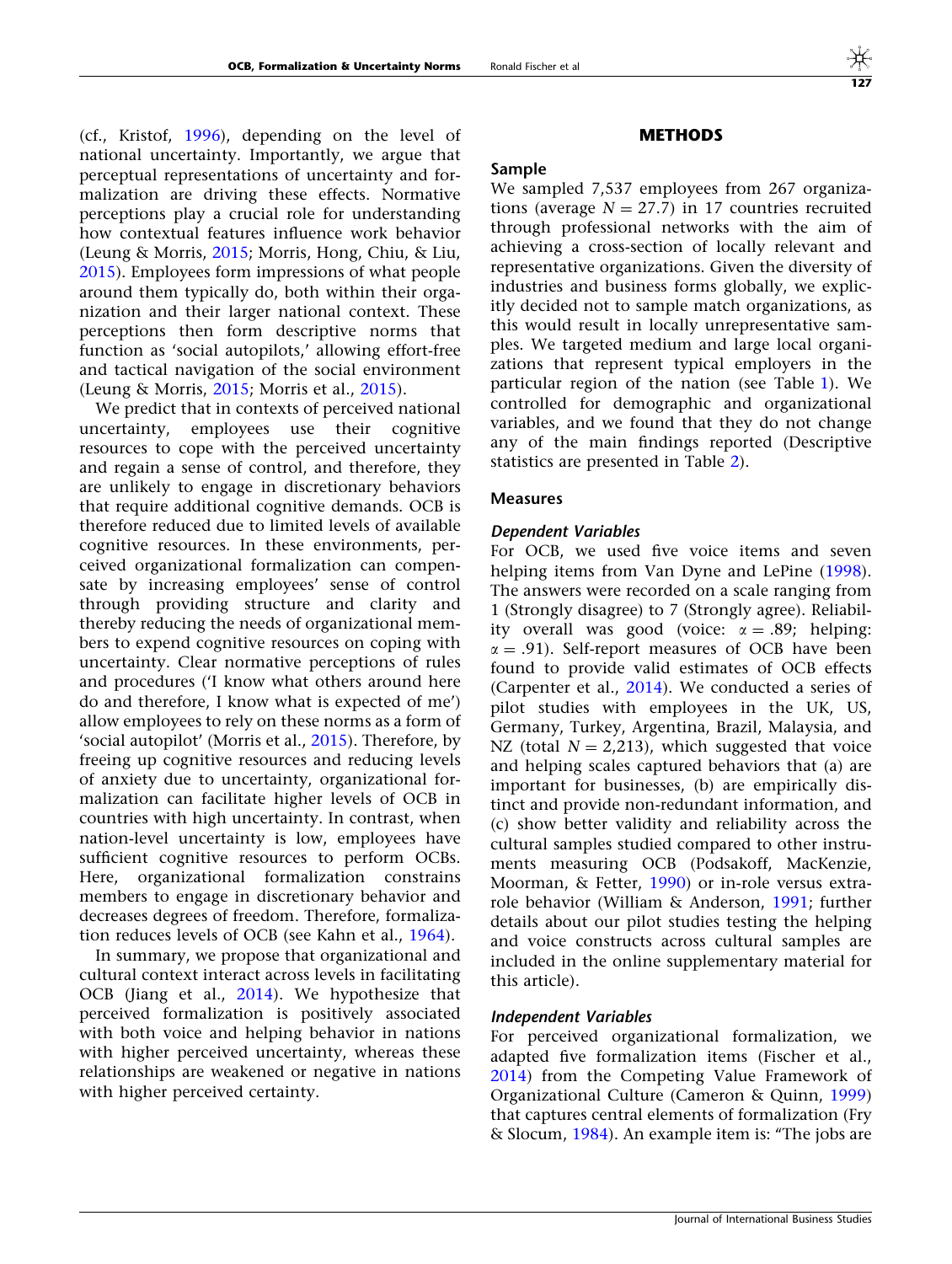(cf., Kristof, [1996\)](#page-7-0), depending on the level of national uncertainty. Importantly, we argue that perceptual representations of uncertainty and formalization are driving these effects. Normative perceptions play a crucial role for understanding how contextual features influence work behavior (Leung & Morris, [2015;](#page-7-0) Morris, Hong, Chiu, & Liu, [2015\)](#page-7-0). Employees form impressions of what people around them typically do, both within their organization and their larger national context. These perceptions then form descriptive norms that function as 'social autopilots,' allowing effort-free and tactical navigation of the social environment (Leung & Morris, [2015](#page-7-0); Morris et al., [2015](#page-7-0)).

We predict that in contexts of perceived national uncertainty, employees use their cognitive resources to cope with the perceived uncertainty and regain a sense of control, and therefore, they are unlikely to engage in discretionary behaviors that require additional cognitive demands. OCB is therefore reduced due to limited levels of available cognitive resources. In these environments, perceived organizational formalization can compensate by increasing employees' sense of control through providing structure and clarity and thereby reducing the needs of organizational members to expend cognitive resources on coping with uncertainty. Clear normative perceptions of rules and procedures ('I know what others around here do and therefore, I know what is expected of me') allow employees to rely on these norms as a form of 'social autopilot' (Morris et al., [2015\)](#page-7-0). Therefore, by freeing up cognitive resources and reducing levels of anxiety due to uncertainty, organizational formalization can facilitate higher levels of OCB in countries with high uncertainty. In contrast, when nation-level uncertainty is low, employees have sufficient cognitive resources to perform OCBs. Here, organizational formalization constrains members to engage in discretionary behavior and decreases degrees of freedom. Therefore, formalization reduces levels of OCB (see Kahn et al., [1964\)](#page-7-0).

In summary, we propose that organizational and cultural context interact across levels in facilitating OCB (Jiang et al., [2014](#page-7-0)). We hypothesize that perceived formalization is positively associated with both voice and helping behavior in nations with higher perceived uncertainty, whereas these relationships are weakened or negative in nations with higher perceived certainty.

#### METHODS

#### Sample

We sampled 7,537 employees from 267 organizations (average  $N = 27.7$ ) in 17 countries recruited through professional networks with the aim of achieving a cross-section of locally relevant and representative organizations. Given the diversity of industries and business forms globally, we explicitly decided not to sample match organizations, as this would result in locally unrepresentative samples. We targeted medium and large local organizations that represent typical employers in the particular region of the nation (see Table [1\)](#page-3-0). We controlled for demographic and organizational variables, and we found that they do not change any of the main findings reported (Descriptive statistics are presented in Table [2\)](#page-3-0).

#### Measures

#### Dependent Variables

For OCB, we used five voice items and seven helping items from Van Dyne and LePine [\(1998](#page-8-0)). The answers were recorded on a scale ranging from 1 (Strongly disagree) to 7 (Strongly agree). Reliability overall was good (voice:  $\alpha = .89$ ; helping:  $\alpha = .91$ ). Self-report measures of OCB have been found to provide valid estimates of OCB effects (Carpenter et al., [2014\)](#page-6-0). We conducted a series of pilot studies with employees in the UK, US, Germany, Turkey, Argentina, Brazil, Malaysia, and NZ (total  $N = 2,213$ ), which suggested that voice and helping scales captured behaviors that (a) are important for businesses, (b) are empirically distinct and provide non-redundant information, and (c) show better validity and reliability across the cultural samples studied compared to other instruments measuring OCB (Podsakoff, MacKenzie, Moorman, & Fetter, [1990](#page-7-0)) or in-role versus extrarole behavior (William & Anderson, [1991](#page-8-0); further details about our pilot studies testing the helping and voice constructs across cultural samples are included in the online supplementary material for this article).

#### Independent Variables

For perceived organizational formalization, we adapted five formalization items (Fischer et al., [2014\)](#page-7-0) from the Competing Value Framework of Organizational Culture (Cameron & Quinn, [1999](#page-6-0)) that captures central elements of formalization (Fry & Slocum, [1984\)](#page-7-0). An example item is: ''The jobs are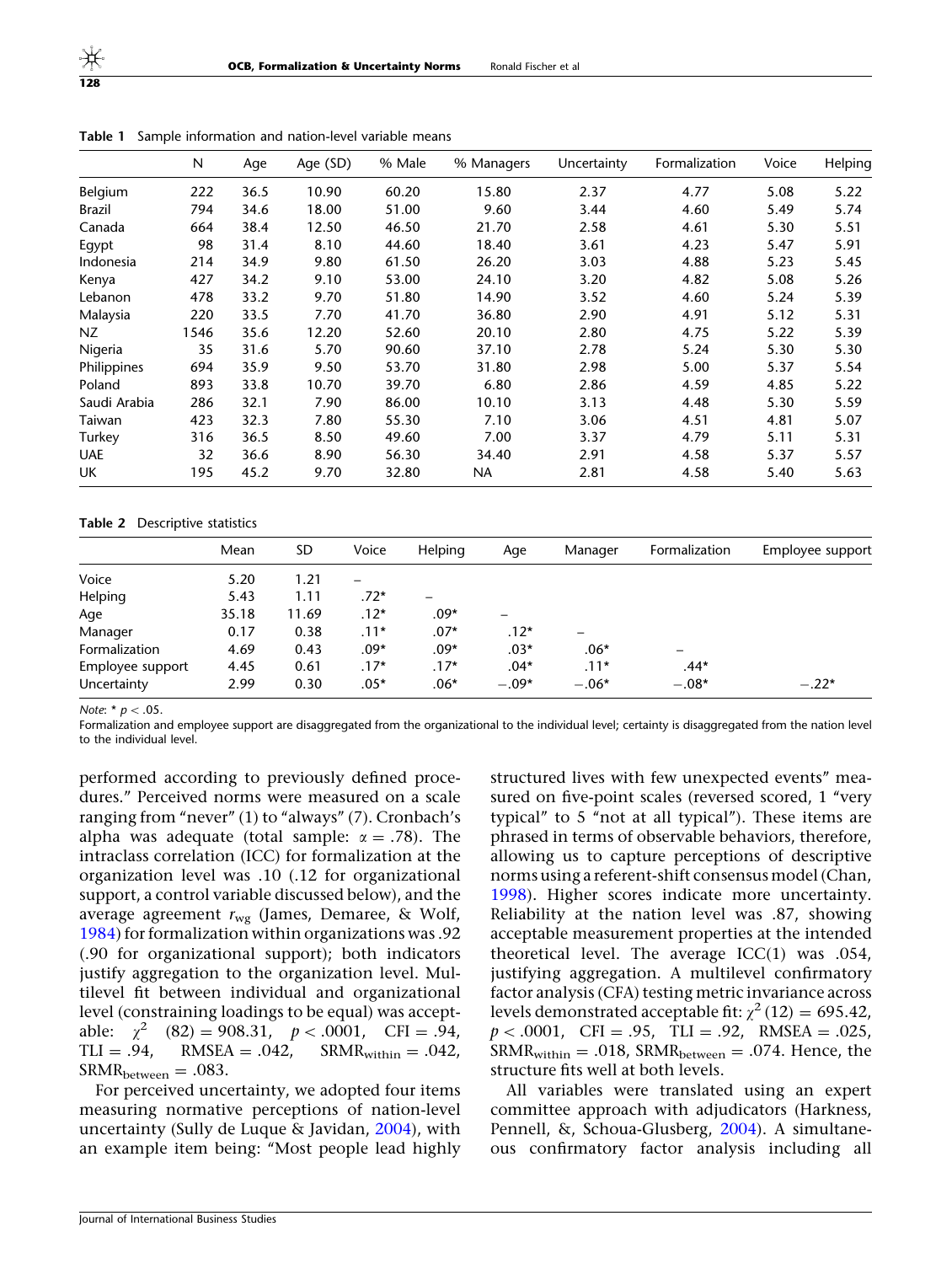|              | N    | Age  | Age (SD) | % Male | % Managers | Uncertainty | Formalization | Voice | Helping |
|--------------|------|------|----------|--------|------------|-------------|---------------|-------|---------|
| Belgium      | 222  | 36.5 | 10.90    | 60.20  | 15.80      | 2.37        | 4.77          | 5.08  | 5.22    |
| Brazil       | 794  | 34.6 | 18.00    | 51.00  | 9.60       | 3.44        | 4.60          | 5.49  | 5.74    |
| Canada       | 664  | 38.4 | 12.50    | 46.50  | 21.70      | 2.58        | 4.61          | 5.30  | 5.51    |
| Egypt        | 98   | 31.4 | 8.10     | 44.60  | 18.40      | 3.61        | 4.23          | 5.47  | 5.91    |
| Indonesia    | 214  | 34.9 | 9.80     | 61.50  | 26.20      | 3.03        | 4.88          | 5.23  | 5.45    |
| Kenya        | 427  | 34.2 | 9.10     | 53.00  | 24.10      | 3.20        | 4.82          | 5.08  | 5.26    |
| Lebanon      | 478  | 33.2 | 9.70     | 51.80  | 14.90      | 3.52        | 4.60          | 5.24  | 5.39    |
| Malaysia     | 220  | 33.5 | 7.70     | 41.70  | 36.80      | 2.90        | 4.91          | 5.12  | 5.31    |
| NZ.          | 1546 | 35.6 | 12.20    | 52.60  | 20.10      | 2.80        | 4.75          | 5.22  | 5.39    |
| Nigeria      | 35   | 31.6 | 5.70     | 90.60  | 37.10      | 2.78        | 5.24          | 5.30  | 5.30    |
| Philippines  | 694  | 35.9 | 9.50     | 53.70  | 31.80      | 2.98        | 5.00          | 5.37  | 5.54    |
| Poland       | 893  | 33.8 | 10.70    | 39.70  | 6.80       | 2.86        | 4.59          | 4.85  | 5.22    |
| Saudi Arabia | 286  | 32.1 | 7.90     | 86.00  | 10.10      | 3.13        | 4.48          | 5.30  | 5.59    |
| Taiwan       | 423  | 32.3 | 7.80     | 55.30  | 7.10       | 3.06        | 4.51          | 4.81  | 5.07    |
| Turkey       | 316  | 36.5 | 8.50     | 49.60  | 7.00       | 3.37        | 4.79          | 5.11  | 5.31    |
| <b>UAE</b>   | 32   | 36.6 | 8.90     | 56.30  | 34.40      | 2.91        | 4.58          | 5.37  | 5.57    |
| UK           | 195  | 45.2 | 9.70     | 32.80  | NA         | 2.81        | 4.58          | 5.40  | 5.63    |

<span id="page-3-0"></span>Table 1 Sample information and nation-level variable means

Table 2 Descriptive statistics

|                  | Mean  | SD    | Voice                    | Helping                  | Age     | Manager | Formalization | Employee support |
|------------------|-------|-------|--------------------------|--------------------------|---------|---------|---------------|------------------|
| Voice            | 5.20  | 1.21  | $\overline{\phantom{0}}$ |                          |         |         |               |                  |
| Helping          | 5.43  | 1.11  | .72*                     | $\overline{\phantom{0}}$ |         |         |               |                  |
| Age              | 35.18 | 11.69 | $.12*$                   | $.09*$                   | -       |         |               |                  |
| Manager          | 0.17  | 0.38  | $.11*$                   | $.07*$                   | $.12*$  | -       |               |                  |
| Formalization    | 4.69  | 0.43  | .09*                     | $.09*$                   | $.03*$  | $.06*$  |               |                  |
| Employee support | 4.45  | 0.61  | $.17*$                   | $.17*$                   | .04*    | $.11*$  | $.44*$        |                  |
| Uncertainty      | 2.99  | 0.30  | .05*                     | .06*                     | $-.09*$ | $-.06*$ | $-.08*$       | $-.22*$          |

Note:  $* p < .05$ .

Formalization and employee support are disaggregated from the organizational to the individual level; certainty is disaggregated from the nation level to the individual level.

performed according to previously defined procedures.'' Perceived norms were measured on a scale ranging from "never" (1) to "always" (7). Cronbach's alpha was adequate (total sample:  $\alpha = .78$ ). The intraclass correlation (ICC) for formalization at the organization level was .10 (.12 for organizational support, a control variable discussed below), and the average agreement  $r_{wg}$  (James, Demaree, & Wolf, [1984\)](#page-7-0) for formalization within organizations was .92 (.90 for organizational support); both indicators justify aggregation to the organization level. Multilevel fit between individual and organizational level (constraining loadings to be equal) was acceptable:  $\chi^2$  (82) = 908.31,  $p < .0001$ , CFI = .94,  $TLI = .94$ , RMSEA =  $.042$ , SRMR<sub>within</sub> =  $.042$ ,  $SRMR<sub>between</sub> = .083.$ 

For perceived uncertainty, we adopted four items measuring normative perceptions of nation-level uncertainty (Sully de Luque & Javidan, [2004\)](#page-7-0), with an example item being: ''Most people lead highly structured lives with few unexpected events'' measured on five-point scales (reversed scored, 1 "very typical" to 5 "not at all typical"). These items are phrased in terms of observable behaviors, therefore, allowing us to capture perceptions of descriptive norms using a referent-shift consensus model (Chan, [1998\)](#page-6-0). Higher scores indicate more uncertainty. Reliability at the nation level was .87, showing acceptable measurement properties at the intended theoretical level. The average ICC(1) was .054, justifying aggregation. A multilevel confirmatory factor analysis (CFA) testing metric invariance across levels demonstrated acceptable fit:  $\chi^2$  (12) = 695.42,  $p < .0001$ , CFI = .95, TLI = .92, RMSEA = .025,  $SRMR_{within} = .018$ ,  $SRMR_{between} = .074$ . Hence, the structure fits well at both levels.

All variables were translated using an expert committee approach with adjudicators (Harkness, Pennell, &, Schoua-Glusberg, [2004\)](#page-7-0). A simultaneous confirmatory factor analysis including all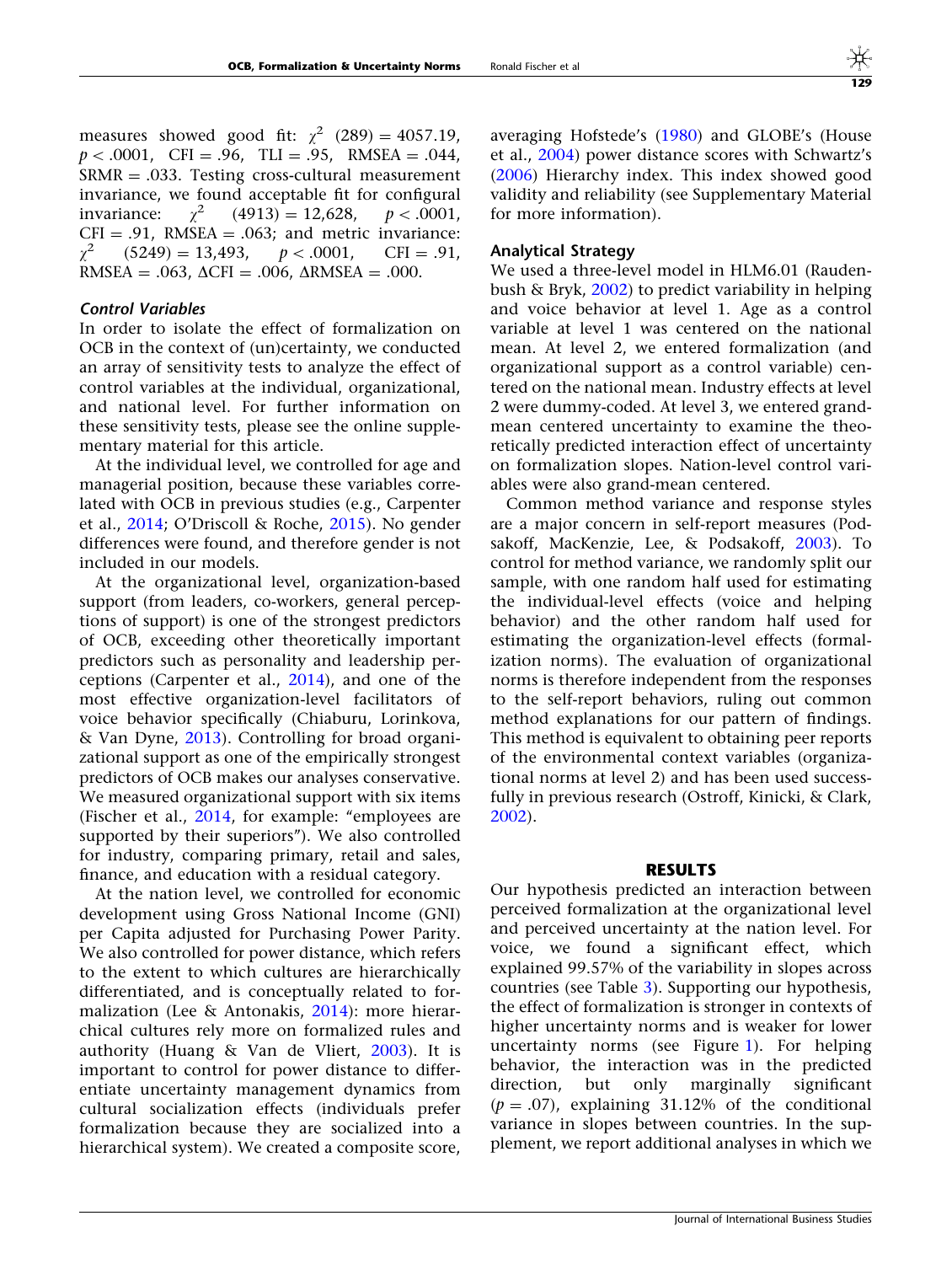measures showed good fit:  $\chi^2$  (289) = 4057.19,  $p < .0001$ , CFI = .96, TLI = .95, RMSEA = .044,  $SRMR = .033$ . Testing cross-cultural measurement invariance, we found acceptable fit for configural invariance:  $y^2$  (4913) = 12,628,  $p < .0001$ . invariance:  $\gamma^2$  (4913) = 12,628,  $p < .0001$ ,  $CFI = .91$ , RMSEA =  $.063$ ; and metric invariance:  $\chi^2$  (5249) = 13,493,  $p < .0001$ , CFI = .91, RMSEA =  $.063$ ,  $\Delta$ CFI =  $.006$ ,  $\Delta$ RMSEA =  $.000$ .

#### Control Variables

In order to isolate the effect of formalization on OCB in the context of (un)certainty, we conducted an array of sensitivity tests to analyze the effect of control variables at the individual, organizational, and national level. For further information on these sensitivity tests, please see the online supplementary material for this article.

At the individual level, we controlled for age and managerial position, because these variables correlated with OCB in previous studies (e.g., Carpenter et al., [2014](#page-6-0); O'Driscoll & Roche, [2015](#page-7-0)). No gender differences were found, and therefore gender is not included in our models.

At the organizational level, organization-based support (from leaders, co-workers, general perceptions of support) is one of the strongest predictors of OCB, exceeding other theoretically important predictors such as personality and leadership perceptions (Carpenter et al., [2014](#page-6-0)), and one of the most effective organization-level facilitators of voice behavior specifically (Chiaburu, Lorinkova, & Van Dyne, [2013\)](#page-7-0). Controlling for broad organizational support as one of the empirically strongest predictors of OCB makes our analyses conservative. We measured organizational support with six items (Fischer et al., [2014,](#page-7-0) for example: "employees are supported by their superiors''). We also controlled for industry, comparing primary, retail and sales, finance, and education with a residual category.

At the nation level, we controlled for economic development using Gross National Income (GNI) per Capita adjusted for Purchasing Power Parity. We also controlled for power distance, which refers to the extent to which cultures are hierarchically differentiated, and is conceptually related to formalization (Lee & Antonakis, [2014\)](#page-7-0): more hierarchical cultures rely more on formalized rules and authority (Huang & Van de Vliert, [2003](#page-7-0)). It is important to control for power distance to differentiate uncertainty management dynamics from cultural socialization effects (individuals prefer formalization because they are socialized into a hierarchical system). We created a composite score,

averaging Hofstede's [\(1980](#page-7-0)) and GLOBE's (House et al., [2004\)](#page-7-0) power distance scores with Schwartz's [\(2006](#page-7-0)) Hierarchy index. This index showed good validity and reliability (see Supplementary Material for more information).

#### Analytical Strategy

We used a three-level model in HLM6.01 (Raudenbush & Bryk, [2002\)](#page-7-0) to predict variability in helping and voice behavior at level 1. Age as a control variable at level 1 was centered on the national mean. At level 2, we entered formalization (and organizational support as a control variable) centered on the national mean. Industry effects at level 2 were dummy-coded. At level 3, we entered grandmean centered uncertainty to examine the theoretically predicted interaction effect of uncertainty on formalization slopes. Nation-level control variables were also grand-mean centered.

Common method variance and response styles are a major concern in self-report measures (Podsakoff, MacKenzie, Lee, & Podsakoff, [2003\)](#page-7-0). To control for method variance, we randomly split our sample, with one random half used for estimating the individual-level effects (voice and helping behavior) and the other random half used for estimating the organization-level effects (formalization norms). The evaluation of organizational norms is therefore independent from the responses to the self-report behaviors, ruling out common method explanations for our pattern of findings. This method is equivalent to obtaining peer reports of the environmental context variables (organizational norms at level 2) and has been used successfully in previous research (Ostroff, Kinicki, & Clark, [2002\)](#page-7-0).

#### RESULTS

Our hypothesis predicted an interaction between perceived formalization at the organizational level and perceived uncertainty at the nation level. For voice, we found a significant effect, which explained 99.57% of the variability in slopes across countries (see Table [3](#page-5-0)). Supporting our hypothesis, the effect of formalization is stronger in contexts of higher uncertainty norms and is weaker for lower uncertainty norms (see Figure [1\)](#page-5-0). For helping behavior, the interaction was in the predicted direction, but only marginally significant  $(p=.07)$ , explaining 31.12% of the conditional variance in slopes between countries. In the supplement, we report additional analyses in which we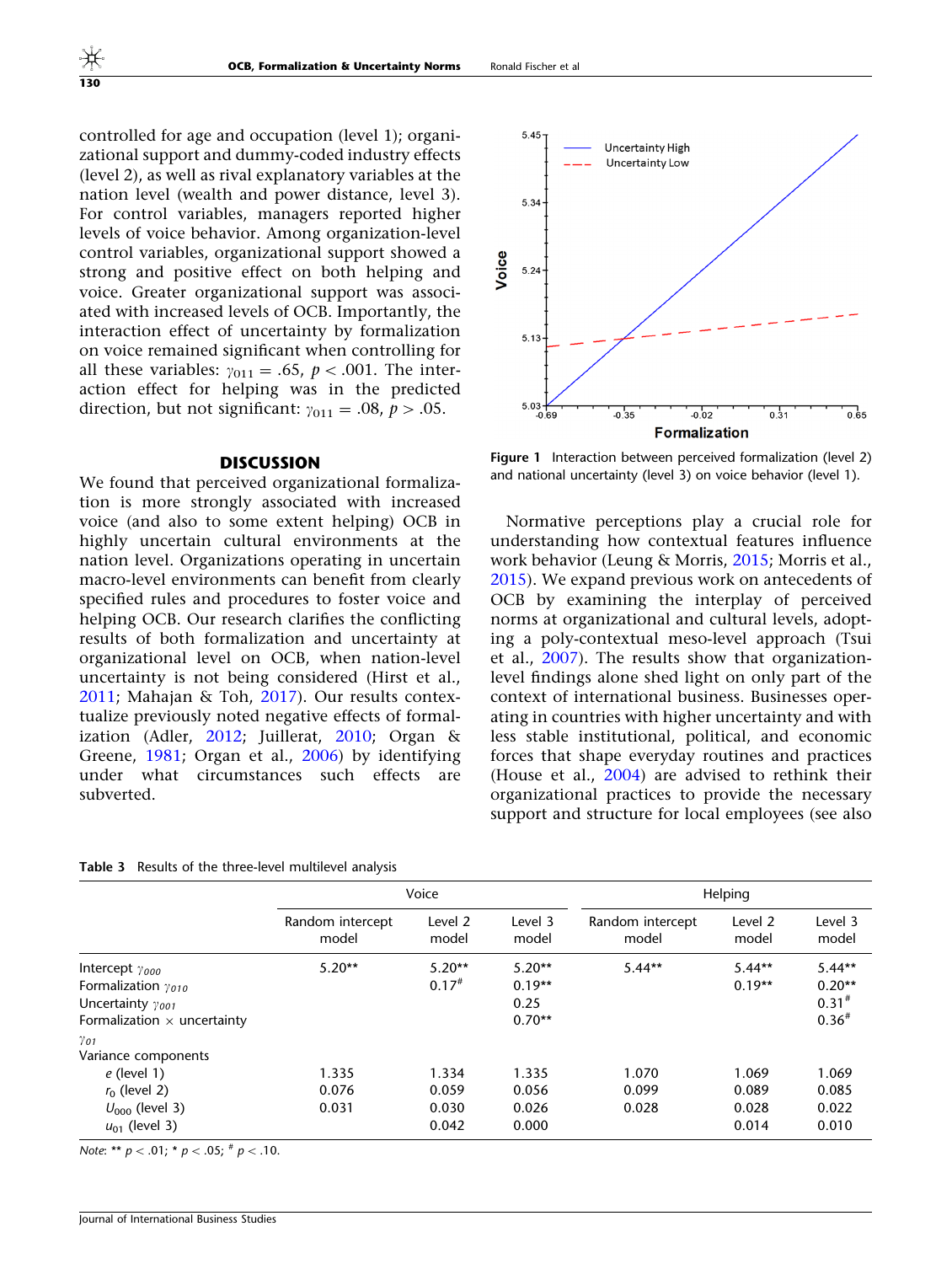<span id="page-5-0"></span>controlled for age and occupation (level 1); organizational support and dummy-coded industry effects (level 2), as well as rival explanatory variables at the nation level (wealth and power distance, level 3). For control variables, managers reported higher levels of voice behavior. Among organization-level control variables, organizational support showed a strong and positive effect on both helping and voice. Greater organizational support was associated with increased levels of OCB. Importantly, the interaction effect of uncertainty by formalization on voice remained significant when controlling for all these variables:  $\gamma_{011} = .65$ ,  $p < .001$ . The interaction effect for helping was in the predicted direction, but not significant:  $\gamma_{011} = .08$ ,  $p > .05$ .

#### **DISCUSSION**

We found that perceived organizational formalization is more strongly associated with increased voice (and also to some extent helping) OCB in highly uncertain cultural environments at the nation level. Organizations operating in uncertain macro-level environments can benefit from clearly specified rules and procedures to foster voice and helping OCB. Our research clarifies the conflicting results of both formalization and uncertainty at organizational level on OCB, when nation-level uncertainty is not being considered (Hirst et al., [2011;](#page-7-0) Mahajan & Toh, [2017](#page-7-0)). Our results contextualize previously noted negative effects of formalization (Adler, [2012;](#page-6-0) Juillerat, [2010;](#page-7-0) Organ & Greene, [1981;](#page-7-0) Organ et al., [2006\)](#page-7-0) by identifying under what circumstances such effects are subverted.

| <b>Table 3</b> Results of the three-level multilevel analysis |
|---------------------------------------------------------------|
|---------------------------------------------------------------|



Figure 1 Interaction between perceived formalization (level 2) and national uncertainty (level 3) on voice behavior (level 1).

Normative perceptions play a crucial role for understanding how contextual features influence work behavior (Leung & Morris, [2015](#page-7-0); Morris et al., [2015\)](#page-7-0). We expand previous work on antecedents of OCB by examining the interplay of perceived norms at organizational and cultural levels, adopting a poly-contextual meso-level approach (Tsui et al., [2007\)](#page-8-0). The results show that organizationlevel findings alone shed light on only part of the context of international business. Businesses operating in countries with higher uncertainty and with less stable institutional, political, and economic forces that shape everyday routines and practices (House et al., [2004\)](#page-7-0) are advised to rethink their organizational practices to provide the necessary support and structure for local employees (see also

|                                      |                           | Voice               |                  | Helping                   |                  |                  |  |
|--------------------------------------|---------------------------|---------------------|------------------|---------------------------|------------------|------------------|--|
|                                      | Random intercept<br>model | Level 2<br>model    | Level 3<br>model | Random intercept<br>model | Level 2<br>model | Level 3<br>model |  |
| Intercept $\gamma_{000}$             | $5.20**$                  | $5.20**$            | $5.20**$         | $5.44**$                  | $5.44**$         | $5.44**$         |  |
| Formalization $\gamma_{010}$         |                           | $0.17$ <sup>#</sup> | $0.19**$         |                           | $0.19**$         | $0.20**$         |  |
| Uncertainty your                     |                           |                     | 0.25             |                           |                  | $0.31^{#}$       |  |
| Formalization $\times$ uncertainty   |                           |                     | $0.70**$         |                           |                  | $0.36^{#}$       |  |
| $\gamma_{01}$<br>Variance components |                           |                     |                  |                           |                  |                  |  |
| e (level 1)                          | 1.335                     | 1.334               | 1.335            | 1.070                     | 1.069            | 1.069            |  |
| $r_0$ (level 2)                      | 0.076                     | 0.059               | 0.056            | 0.099                     | 0.089            | 0.085            |  |
| $U_{000}$ (level 3)                  | 0.031                     | 0.030               | 0.026            | 0.028                     | 0.028            | 0.022            |  |
| $u_{01}$ (level 3)                   |                           | 0.042               | 0.000            |                           | 0.014            | 0.010            |  |

Note: \*\*  $p < .01$ ; \*  $p < .05$ ; #  $p < .10$ .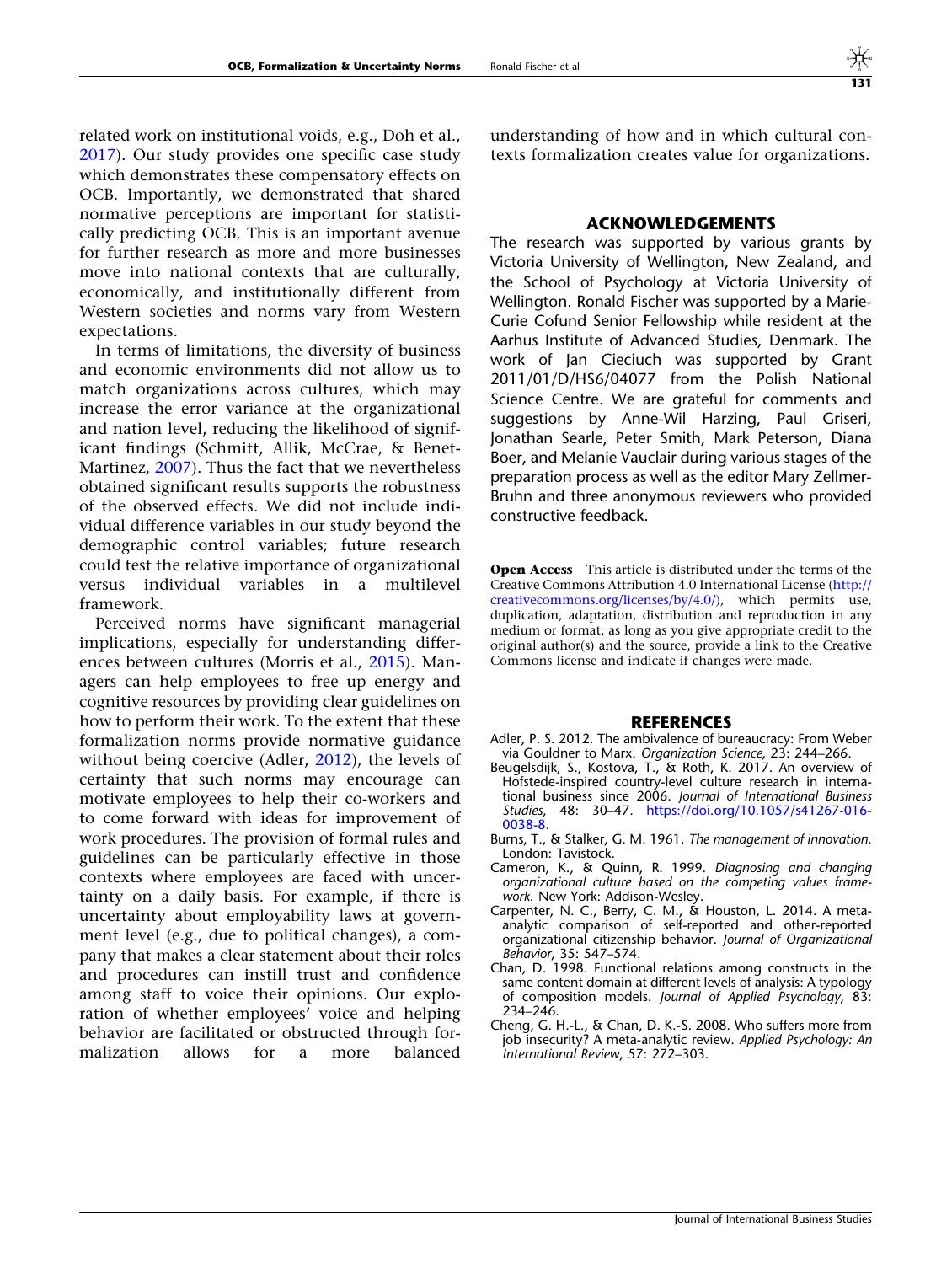<span id="page-6-0"></span>related work on institutional voids, e.g., Doh et al., [2017\)](#page-7-0). Our study provides one specific case study which demonstrates these compensatory effects on OCB. Importantly, we demonstrated that shared normative perceptions are important for statistically predicting OCB. This is an important avenue for further research as more and more businesses move into national contexts that are culturally, economically, and institutionally different from Western societies and norms vary from Western expectations.

In terms of limitations, the diversity of business and economic environments did not allow us to match organizations across cultures, which may increase the error variance at the organizational and nation level, reducing the likelihood of significant findings (Schmitt, Allik, McCrae, & Benet-Martinez, [2007\)](#page-7-0). Thus the fact that we nevertheless obtained significant results supports the robustness of the observed effects. We did not include individual difference variables in our study beyond the demographic control variables; future research could test the relative importance of organizational versus individual variables in a multilevel framework.

Perceived norms have significant managerial implications, especially for understanding differences between cultures (Morris et al., [2015\)](#page-7-0). Managers can help employees to free up energy and cognitive resources by providing clear guidelines on how to perform their work. To the extent that these formalization norms provide normative guidance without being coercive (Adler, 2012), the levels of certainty that such norms may encourage can motivate employees to help their co-workers and to come forward with ideas for improvement of work procedures. The provision of formal rules and guidelines can be particularly effective in those contexts where employees are faced with uncertainty on a daily basis. For example, if there is uncertainty about employability laws at government level (e.g., due to political changes), a company that makes a clear statement about their roles and procedures can instill trust and confidence among staff to voice their opinions. Our exploration of whether employees' voice and helping behavior are facilitated or obstructed through formalization allows for a more balanced

understanding of how and in which cultural contexts formalization creates value for organizations.

#### ACKNOWLEDGEMENTS

The research was supported by various grants by Victoria University of Wellington, New Zealand, and the School of Psychology at Victoria University of Wellington. Ronald Fischer was supported by a Marie-Curie Cofund Senior Fellowship while resident at the Aarhus Institute of Advanced Studies, Denmark. The work of Jan Cieciuch was supported by Grant 2011/01/D/HS6/04077 from the Polish National Science Centre. We are grateful for comments and suggestions by Anne-Wil Harzing, Paul Griseri, Jonathan Searle, Peter Smith, Mark Peterson, Diana Boer, and Melanie Vauclair during various stages of the preparation process as well as the editor Mary Zellmer-Bruhn and three anonymous reviewers who provided constructive feedback.

**Open Access** This article is distributed under the terms of the Creative Commons Attribution 4.0 International License [\(http://](http://creativecommons.org/licenses/by/4.0/) [creativecommons.org/licenses/by/4.0/](http://creativecommons.org/licenses/by/4.0/)), which permits use, duplication, adaptation, distribution and reproduction in any medium or format, as long as you give appropriate credit to the original author(s) and the source, provide a link to the Creative Commons license and indicate if changes were made.

#### **REFERENCES**

- Adler, P. S. 2012. The ambivalence of bureaucracy: From Weber via Gouldner to Marx. Organization Science, 23: 244–266.
- Beugelsdijk, S., Kostova, T., & Roth, K. 2017. An overview of Hofstede-inspired country-level culture research in international business since 2006. Journal of International Business Studies, 48: 30–47. [https://doi.org/10.1057/s41267-016-](http://dx.doi.org/10.1057/s41267-016-0038-8) [0038-8.](http://dx.doi.org/10.1057/s41267-016-0038-8)
- Burns, T., & Stalker, G. M. 1961. The management of innovation. London: Tavistock.
- Cameron, K., & Quinn, R. 1999. Diagnosing and changing organizational culture based on the competing values framework. New York: Addison-Wesley.
- Carpenter, N. C., Berry, C. M., & Houston, L. 2014. A metaanalytic comparison of self-reported and other-reported organizational citizenship behavior. Journal of Organizational Behavior, 35: 547–574.
- Chan, D. 1998. Functional relations among constructs in the same content domain at different levels of analysis: A typology of composition models. Journal of Applied Psychology, 83: 234–246.
- Cheng, G. H.-L., & Chan, D. K.-S. 2008. Who suffers more from job insecurity? A meta-analytic review. Applied Psychology: An International Review, 57: 272–303.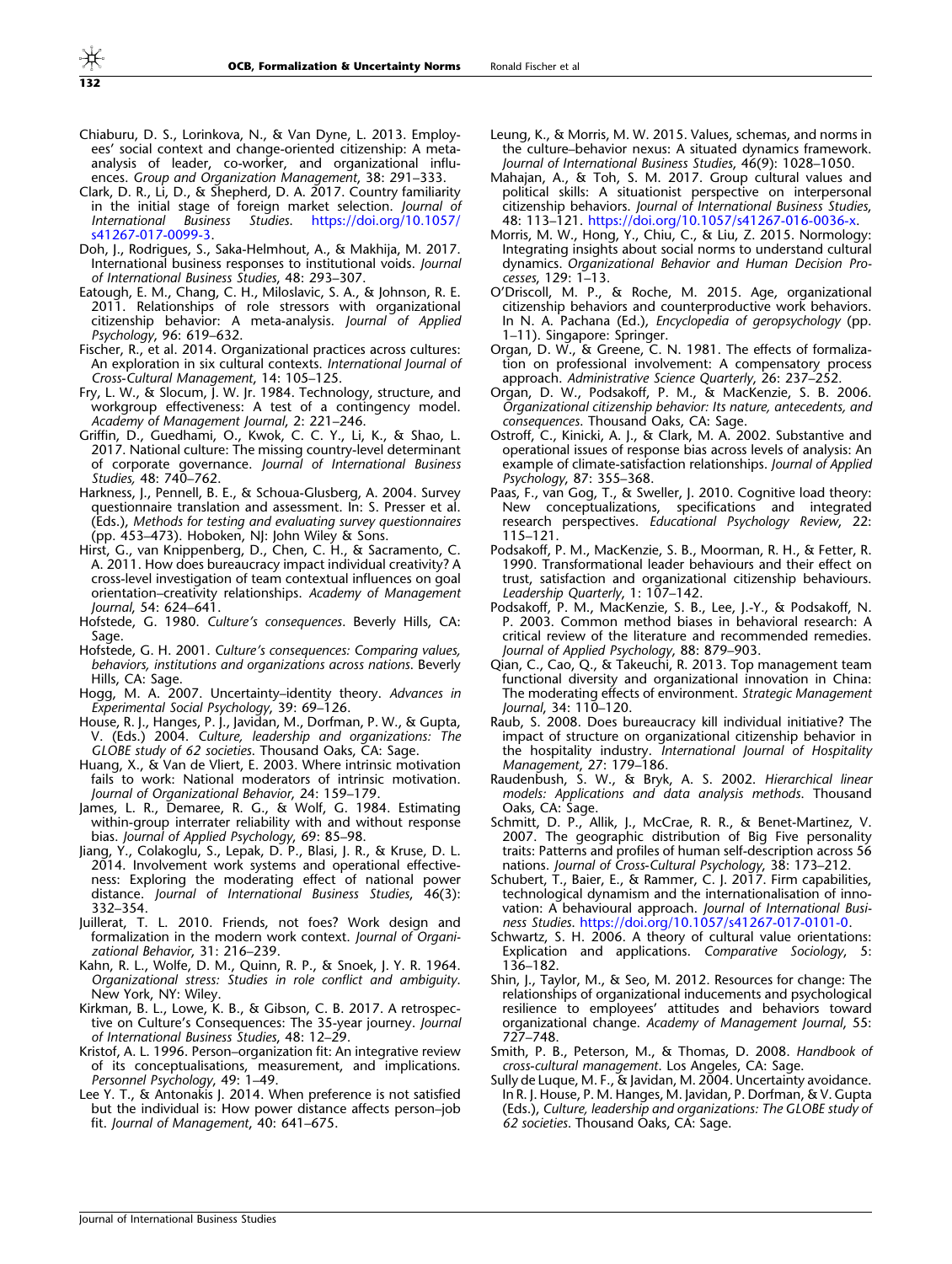<span id="page-7-0"></span>analysis of leader, co-worker, and organizational influences. Group and Organization Management, 38: 291–333. Clark, D. R., Li, D., & Shepherd, D. A. 2017. Country familiarity

- in the initial stage of foreign market selection. Journal of International Business Studies. [https://doi.org/10.1057/](http://dx.doi.org/10.1057/s41267-017-0099-3) [s41267-017-0099-3.](http://dx.doi.org/10.1057/s41267-017-0099-3)
- Doh, J., Rodrigues, S., Saka-Helmhout, A., & Makhija, M. 2017. International business responses to institutional voids. Journal of International Business Studies, 48: 293–307.
- Eatough, E. M., Chang, C. H., Miloslavic, S. A., & Johnson, R. E. 2011. Relationships of role stressors with organizational citizenship behavior: A meta-analysis. Journal of Applied Psychology, 96: 619–632.
- Fischer, R., et al. 2014. Organizational practices across cultures: An exploration in six cultural contexts. International Journal of Cross-Cultural Management, 14: 105–125.
- Fry, L. W., & Slocum, J. W. Jr. 1984. Technology, structure, and workgroup effectiveness: A test of a contingency model. Academy of Management Journal, 2: 221–246.
- Griffin, D., Guedhami, O., Kwok, C. C. Y., Li, K., & Shao, L. 2017. National culture: The missing country-level determinant of corporate governance. Journal of International Business Studies, 48: 740–762.
- Harkness, J., Pennell, B. E., & Schoua-Glusberg, A. 2004. Survey questionnaire translation and assessment. In: S. Presser et al. (Eds.), Methods for testing and evaluating survey questionnaires (pp. 453–473). Hoboken, NJ: John Wiley & Sons.
- Hirst, G., van Knippenberg, D., Chen, C. H., & Sacramento, C. A. 2011. How does bureaucracy impact individual creativity? A cross-level investigation of team contextual influences on goal orientation–creativity relationships. Academy of Management Journal, 54: 624–641.
- Hofstede, G. 1980. Culture's consequences. Beverly Hills, CA: Sage.
- Hofstede, G. H. 2001. Culture's consequences: Comparing values, behaviors, institutions and organizations across nations. Beverly Hills, CA: Sage.
- Hogg, M. A. 2007. Uncertainty–identity theory. Advances in Experimental Social Psychology, 39: 69–126.
- House, R. J., Hanges, P. J., Javidan, M., Dorfman, P. W., & Gupta, V. (Eds.) 2004. Culture, leadership and organizations: The GLOBE study of 62 societies. Thousand Oaks, CA: Sage.
- Huang, X., & Van de Vliert, E. 2003. Where intrinsic motivation fails to work: National moderators of intrinsic motivation. Journal of Organizational Behavior, 24: 159–179.
- James, L. R., Demaree, R. G., & Wolf, G. 1984. Estimating within-group interrater reliability with and without response bias. Journal of Applied Psychology, 69: 85–98.
- Jiang, Y., Colakoglu, S., Lepak, D. P., Blasi, J. R., & Kruse, D. L. 2014. Involvement work systems and operational effectiveness: Exploring the moderating effect of national power distance. Journal of International Business Studies, 46(3): 332–354.
- Juillerat, T. L. 2010. Friends, not foes? Work design and formalization in the modern work context. Journal of Organizational Behavior, 31: 216–239.
- Kahn, R. L., Wolfe, D. M., Quinn, R. P., & Snoek, J. Y. R. 1964. Organizational stress: Studies in role conflict and ambiguity. New York, NY: Wiley.
- Kirkman, B. L., Lowe, K. B., & Gibson, C. B. 2017. A retrospective on Culture's Consequences: The 35-year journey. Journal of International Business Studies, 48: 12–29.
- Kristof, A. L. 1996. Person–organization fit: An integrative review of its conceptualisations, measurement, and implications. Personnel Psychology, 49: 1–49.
- Lee Y. T., & Antonakis J. 2014. When preference is not satisfied but the individual is: How power distance affects person–job fit. Journal of Management, 40: 641–675.
- Leung, K., & Morris, M. W. 2015. Values, schemas, and norms in the culture–behavior nexus: A situated dynamics framework. Journal of International Business Studies, 46(9): 1028–1050.
- Mahajan, A., & Toh, S. M. 2017. Group cultural values and political skills: A situationist perspective on interpersonal citizenship behaviors. Journal of International Business Studies, 48: 113–121. [https://doi.org/10.1057/s41267-016-0036-x.](http://dx.doi.org/10.1057/s41267-016-0036-x)
- Morris, M. W., Hong, Y., Chiu, C., & Liu, Z. 2015. Normology: Integrating insights about social norms to understand cultural dynamics. Organizational Behavior and Human Decision Processes, 129: 1–13.
- O'Driscoll, M. P., & Roche, M. 2015. Age, organizational citizenship behaviors and counterproductive work behaviors. In N. A. Pachana (Ed.), Encyclopedia of geropsychology (pp. 1–11). Singapore: Springer.
- Organ, D. W., & Greene, C. N. 1981. The effects of formalization on professional involvement: A compensatory process approach. Administrative Science Quarterly, 26: 237–252.
- Organ, D. W., Podsakoff, P. M., & MacKenzie, S. B. 2006. Organizational citizenship behavior: Its nature, antecedents, and consequences. Thousand Oaks, CA: Sage.
- Ostroff, C., Kinicki, A. J., & Clark, M. A. 2002. Substantive and operational issues of response bias across levels of analysis: An example of climate-satisfaction relationships. Journal of Applied Psychology, 87: 355–368.
- Paas, F., van Gog, T., & Sweller, J. 2010. Cognitive load theory: New conceptualizations, specifications and integrated research perspectives. Educational Psychology Review, 22: 115–121.
- Podsakoff, P. M., MacKenzie, S. B., Moorman, R. H., & Fetter, R. 1990. Transformational leader behaviours and their effect on trust, satisfaction and organizational citizenship behaviours. Leadership Quarterly, 1: 107-142.
- Podsakoff, P. M., MacKenzie, S. B., Lee, J.-Y., & Podsakoff, N. P. 2003. Common method biases in behavioral research: A critical review of the literature and recommended remedies. Journal of Applied Psychology, 88: 879–903.
- Qian, C., Cao, Q., & Takeuchi, R. 2013. Top management team functional diversity and organizational innovation in China: The moderating effects of environment. Strategic Management Journal, 34: 110–120.
- Raub, S. 2008. Does bureaucracy kill individual initiative? The impact of structure on organizational citizenship behavior in the hospitality industry. International Journal of Hospitality Management, 27: 179–186.
- Raudenbush, S. W., & Bryk, A. S. 2002. Hierarchical linear models: Applications and data analysis methods. Thousand Oaks, CA: Sage.
- Schmitt, D. P., Allik, J., McCrae, R. R., & Benet-Martinez, V. 2007. The geographic distribution of Big Five personality traits: Patterns and profiles of human self-description across 56 nations. Journal of Cross-Cultural Psychology, 38: 173–212.
- Schubert, T., Baier, E., & Rammer, C. J. 2017. Firm capabilities, technological dynamism and the internationalisation of innovation: A behavioural approach. Journal of International Business Studies. [https://doi.org/10.1057/s41267-017-0101-0](http://dx.doi.org/10.1057/s41267-017-0101-0).
- Schwartz, S. H. 2006. A theory of cultural value orientations: Explication and applications. Comparative Sociology, 5: 136–182.
- Shin, J., Taylor, M., & Seo, M. 2012. Resources for change: The relationships of organizational inducements and psychological resilience to employees' attitudes and behaviors toward organizational change. Academy of Management Journal, 55: 727–748.
- Smith, P. B., Peterson, M., & Thomas, D. 2008. Handbook of cross-cultural management. Los Angeles, CA: Sage.
- Sully de Luque, M. F., & Javidan, M. 2004. Uncertainty avoidance. In R. J. House, P. M. Hanges, M. Javidan, P. Dorfman, & V. Gupta (Eds.), Culture, leadership and organizations: The GLOBE study of 62 societies. Thousand Oaks, CA: Sage.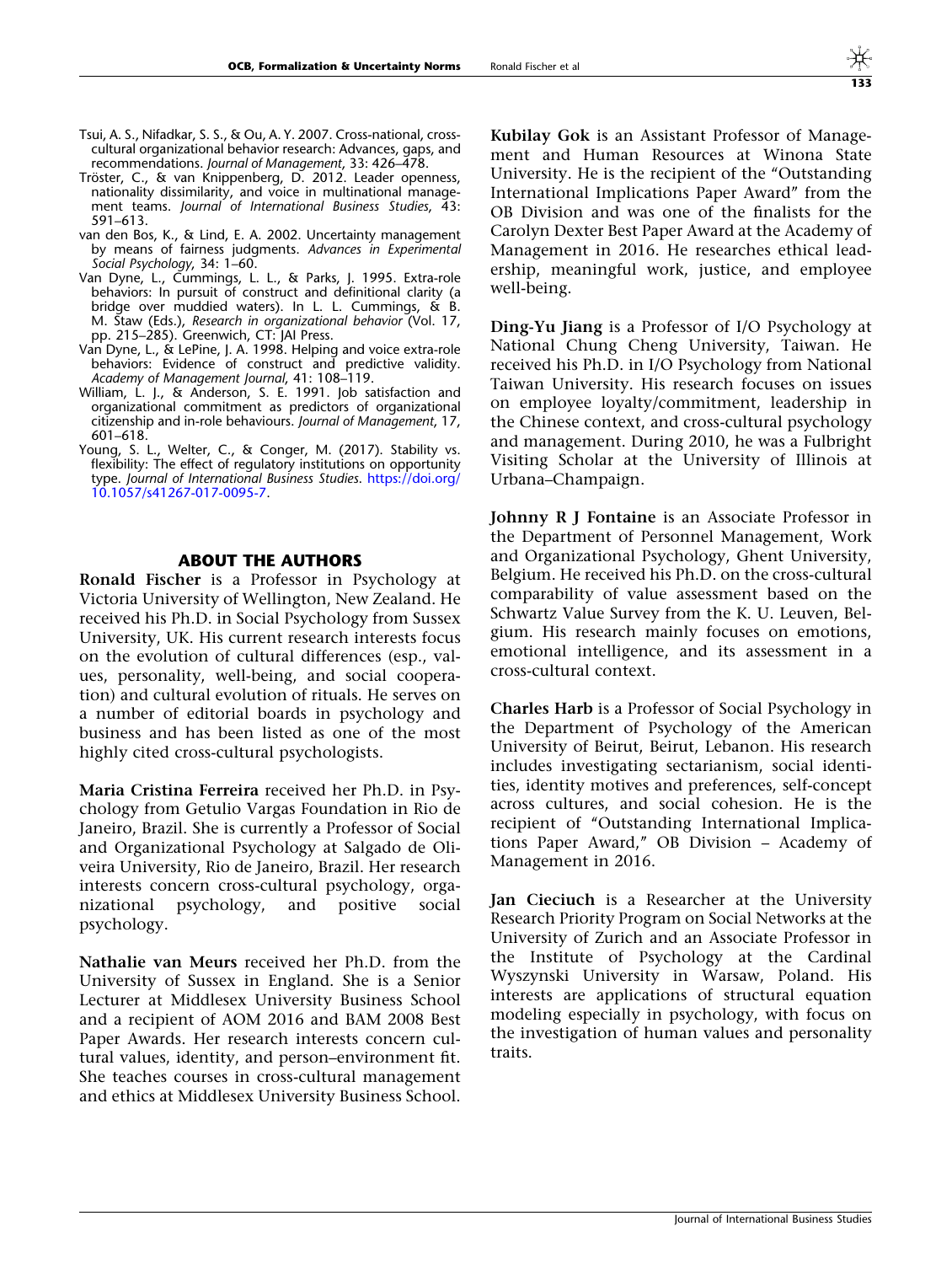- <span id="page-8-0"></span>Tsui, A. S., Nifadkar, S. S., & Ou, A. Y. 2007. Cross-national, crosscultural organizational behavior research: Advances, gaps, and recommendations. Journal of Management, 33: 426–478.
- Tröster, C., & van Knippenberg, D. 2012. Leader openness, nationality dissimilarity, and voice in multinational management teams. Journal of International Business Studies, 43: 591–613.
- van den Bos, K., & Lind, E. A. 2002. Uncertainty management by means of fairness judgments. Advances in Experimental Social Psychology, 34: 1–60.
- Van Dyne, L., Cummings, L. L., & Parks, J. 1995. Extra-role behaviors: In pursuit of construct and definitional clarity (a bridge over muddied waters). In L. L. Cummings, & B. M. Staw (Eds.), Research in organizational behavior (Vol. 17, pp. 215–285). Greenwich, CT: JAI Press.
- Van Dyne, L., & LePine, J. A. 1998. Helping and voice extra-role behaviors: Evidence of construct and predictive validity. Academy of Management Journal, 41: 108–119.
- William, L. J., & Anderson, S. E. 1991. Job satisfaction and organizational commitment as predictors of organizational citizenship and in-role behaviours. Journal of Management, 17, 601–618.
- Young, S. L., Welter, C., & Conger, M. (2017). Stability vs. flexibility: The effect of regulatory institutions on opportunity type. Journal of International Business Studies. [https://doi.org/](http://dx.doi.org/10.1057/s41267-017-0095-7) [10.1057/s41267-017-0095-7.](http://dx.doi.org/10.1057/s41267-017-0095-7)

#### ABOUT THE AUTHORS

Ronald Fischer is a Professor in Psychology at Victoria University of Wellington, New Zealand. He received his Ph.D. in Social Psychology from Sussex University, UK. His current research interests focus on the evolution of cultural differences (esp., values, personality, well-being, and social cooperation) and cultural evolution of rituals. He serves on a number of editorial boards in psychology and business and has been listed as one of the most highly cited cross-cultural psychologists.

Maria Cristina Ferreira received her Ph.D. in Psychology from Getulio Vargas Foundation in Rio de Janeiro, Brazil. She is currently a Professor of Social and Organizational Psychology at Salgado de Oliveira University, Rio de Janeiro, Brazil. Her research interests concern cross-cultural psychology, organizational psychology, and positive social psychology.

Nathalie van Meurs received her Ph.D. from the University of Sussex in England. She is a Senior Lecturer at Middlesex University Business School and a recipient of AOM 2016 and BAM 2008 Best Paper Awards. Her research interests concern cultural values, identity, and person–environment fit. She teaches courses in cross-cultural management and ethics at Middlesex University Business School. Kubilay Gok is an Assistant Professor of Management and Human Resources at Winona State University. He is the recipient of the ''Outstanding International Implications Paper Award'' from the OB Division and was one of the finalists for the Carolyn Dexter Best Paper Award at the Academy of Management in 2016. He researches ethical leadership, meaningful work, justice, and employee well-being.

Ding-Yu Jiang is a Professor of I/O Psychology at National Chung Cheng University, Taiwan. He received his Ph.D. in I/O Psychology from National Taiwan University. His research focuses on issues on employee loyalty/commitment, leadership in the Chinese context, and cross-cultural psychology and management. During 2010, he was a Fulbright Visiting Scholar at the University of Illinois at Urbana–Champaign.

Johnny R J Fontaine is an Associate Professor in the Department of Personnel Management, Work and Organizational Psychology, Ghent University, Belgium. He received his Ph.D. on the cross-cultural comparability of value assessment based on the Schwartz Value Survey from the K. U. Leuven, Belgium. His research mainly focuses on emotions, emotional intelligence, and its assessment in a cross-cultural context.

Charles Harb is a Professor of Social Psychology in the Department of Psychology of the American University of Beirut, Beirut, Lebanon. His research includes investigating sectarianism, social identities, identity motives and preferences, self-concept across cultures, and social cohesion. He is the recipient of ''Outstanding International Implications Paper Award,'' OB Division – Academy of Management in 2016.

Jan Cieciuch is a Researcher at the University Research Priority Program on Social Networks at the University of Zurich and an Associate Professor in the Institute of Psychology at the Cardinal Wyszynski University in Warsaw, Poland. His interests are applications of structural equation modeling especially in psychology, with focus on the investigation of human values and personality traits.